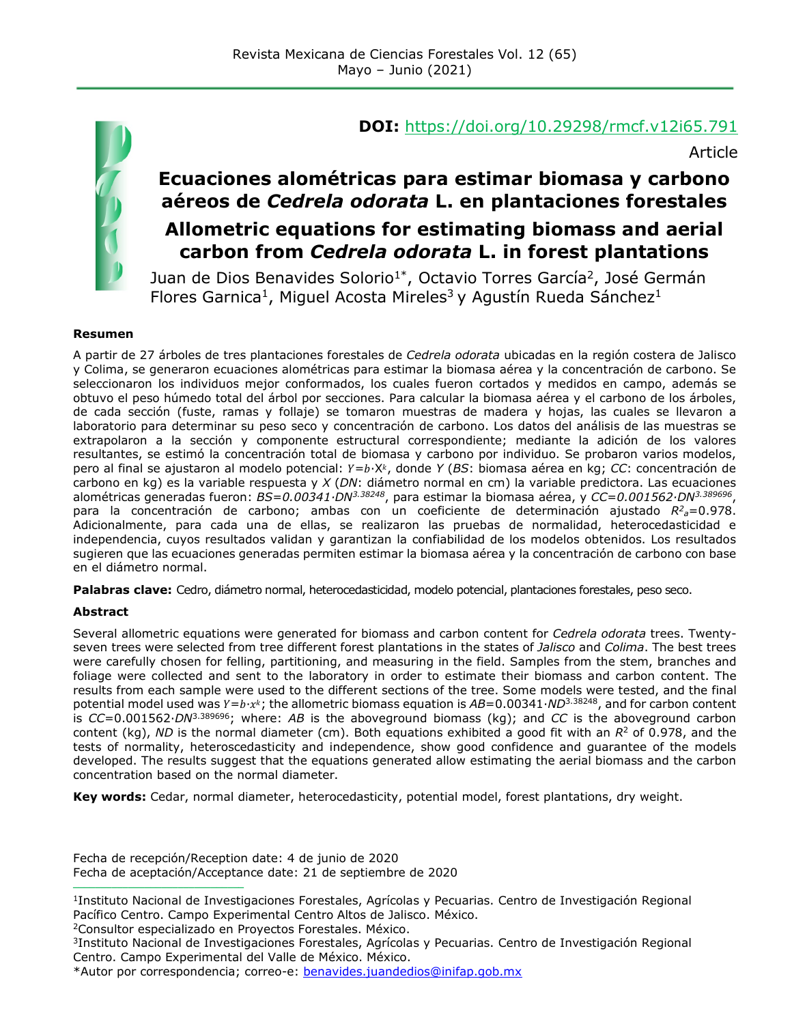

#### **DOI:** <https://doi.org/10.29298/rmcf.v12i65.791>

Article

# **Ecuaciones alométricas para estimar biomasa y carbono aéreos de** *Cedrela odorata* **L. en plantaciones forestales Allometric equations for estimating biomass and aerial carbon from** *Cedrela odorata* **L. in forest plantations**

Juan de Dios Benavides Solorio<sup>1\*</sup>, Octavio Torres García<sup>2</sup>, José Germán Flores Garnica<sup>1</sup>, Miguel Acosta Mireles<sup>3</sup> y Agustín Rueda Sánchez<sup>1</sup>

#### **Resumen**

A partir de 27 árboles de tres plantaciones forestales de *Cedrela odorata* ubicadas en la región costera de Jalisco y Colima, se generaron ecuaciones alométricas para estimar la biomasa aérea y la concentración de carbono. Se seleccionaron los individuos mejor conformados, los cuales fueron cortados y medidos en campo, además se obtuvo el peso húmedo total del árbol por secciones. Para calcular la biomasa aérea y el carbono de los árboles, de cada sección (fuste, ramas y follaje) se tomaron muestras de madera y hojas, las cuales se llevaron a laboratorio para determinar su peso seco y concentración de carbono. Los datos del análisis de las muestras se extrapolaron a la sección y componente estructural correspondiente; mediante la adición de los valores resultantes, se estimó la concentración total de biomasa y carbono por individuo. Se probaron varios modelos, pero al final se ajustaron al modelo potencial: Y=b·X<sup>k</sup>, donde *Y (BS*: biomasa aérea en kg; *CC*: concentración de carbono en kg) es la variable respuesta y *X* (*DN*: diámetro normal en cm) la variable predictora. Las ecuaciones alométricas generadas fueron: *BS*=*0.00341∙DN3.38248*, para estimar la biomasa aérea, y *CC*=*0.001562∙DN3.389696*, para la concentración de carbono; ambas con un coeficiente de determinación ajustado *R2 <sup>a</sup>*=0.978. Adicionalmente, para cada una de ellas, se realizaron las pruebas de normalidad, heterocedasticidad e independencia, cuyos resultados validan y garantizan la confiabilidad de los modelos obtenidos. Los resultados sugieren que las ecuaciones generadas permiten estimar la biomasa aérea y la concentración de carbono con base en el diámetro normal.

**Palabras clave:** Cedro, diámetro normal, heterocedasticidad, modelo potencial, plantaciones forestales, peso seco.

#### **Abstract**

Several allometric equations were generated for biomass and carbon content for *Cedrela odorata* trees. Twentyseven trees were selected from tree different forest plantations in the states of *Jalisco* and *Colima*. The best trees were carefully chosen for felling, partitioning, and measuring in the field. Samples from the stem, branches and foliage were collected and sent to the laboratory in order to estimate their biomass and carbon content. The results from each sample were used to the different sections of the tree. Some models were tested, and the final potential model used was *Y*=*b*⋅*x*<sup>k</sup>; the allometric biomass equation is *AB*=0.00341⋅*ND*<sup>3.38248</sup>, and for carbon content is *CC*=0.001562∙*DN*3.389696; where: *AB* is the aboveground biomass (kg); and *CC* is the aboveground carbon content (kg), *ND* is the normal diameter (cm). Both equations exhibited a good fit with an *R*<sup>2</sup> of 0.978, and the tests of normality, heteroscedasticity and independence, show good confidence and guarantee of the models developed. The results suggest that the equations generated allow estimating the aerial biomass and the carbon concentration based on the normal diameter.

**Key words:** Cedar, normal diameter, heterocedasticity, potential model, forest plantations, dry weight.

Fecha de recepción/Reception date: 4 de junio de 2020 Fecha de aceptación/Acceptance date: 21 de septiembre de 2020

2Consultor especializado en Proyectos Forestales. México.

**\_\_\_\_\_\_\_\_\_\_\_\_\_\_\_\_\_\_\_\_\_\_\_\_\_\_\_\_\_\_\_**

3Instituto Nacional de Investigaciones Forestales, Agrícolas y Pecuarias. Centro de Investigación Regional Centro. Campo Experimental del Valle de México. México.

<sup>1</sup>Instituto Nacional de Investigaciones Forestales, Agrícolas y Pecuarias. Centro de Investigación Regional Pacífico Centro. Campo Experimental Centro Altos de Jalisco. México.

<sup>\*</sup>Autor por correspondencia; correo-e: [benavides.juandedios@inifap.gob.mx](mailto:benavides.juandedios@inifap.gob.mx)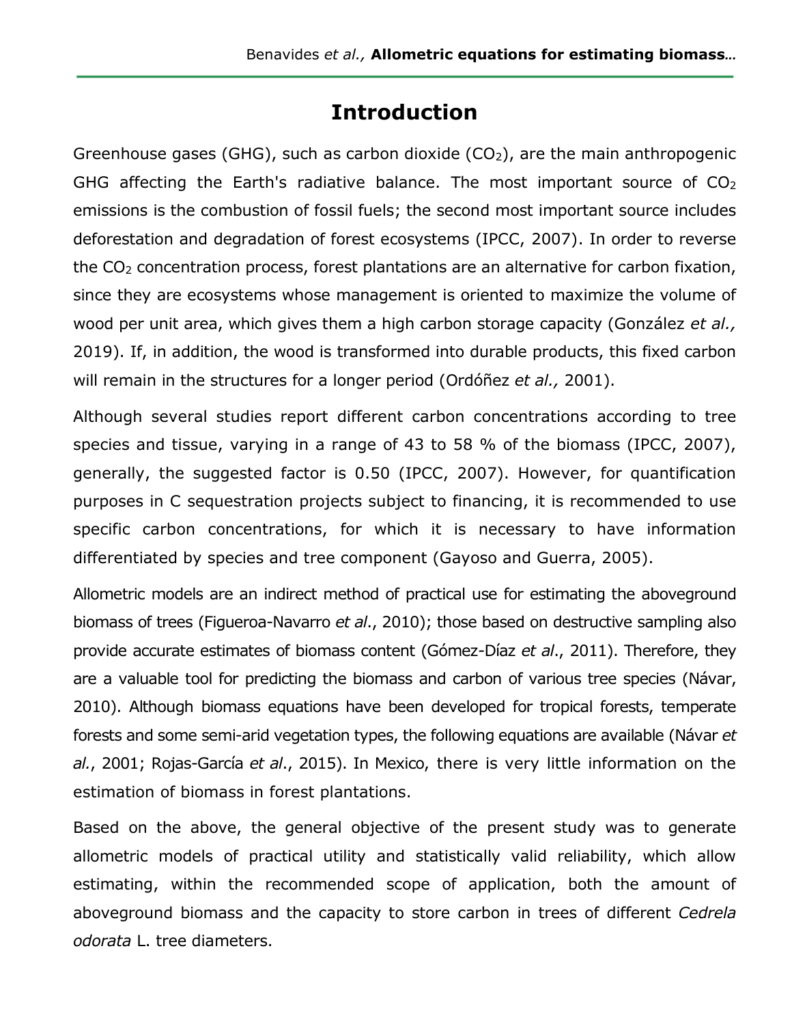# **Introduction**

Greenhouse gases (GHG), such as carbon dioxide  $(CO<sub>2</sub>)$ , are the main anthropogenic GHG affecting the Earth's radiative balance. The most important source of CO2 emissions is the combustion of fossil fuels; the second most important source includes deforestation and degradation of forest ecosystems (IPCC, 2007). In order to reverse the CO2 concentration process, forest plantations are an alternative for carbon fixation, since they are ecosystems whose management is oriented to maximize the volume of wood per unit area, which gives them a high carbon storage capacity (González *et al.,*  2019). If, in addition, the wood is transformed into durable products, this fixed carbon will remain in the structures for a longer period (Ordóñez *et al.,* 2001).

Although several studies report different carbon concentrations according to tree species and tissue, varying in a range of 43 to 58 % of the biomass (IPCC, 2007), generally, the suggested factor is 0.50 (IPCC, 2007). However, for quantification purposes in C sequestration projects subject to financing, it is recommended to use specific carbon concentrations, for which it is necessary to have information differentiated by species and tree component (Gayoso and Guerra, 2005).

Allometric models are an indirect method of practical use for estimating the aboveground biomass of trees (Figueroa-Navarro *et al*., 2010); those based on destructive sampling also provide accurate estimates of biomass content (Gómez-Díaz *et al*., 2011). Therefore, they are a valuable tool for predicting the biomass and carbon of various tree species (Návar, 2010). Although biomass equations have been developed for tropical forests, temperate forests and some semi-arid vegetation types, the following equations are available (Návar *et al.*, 2001; Rojas-García *et al*., 2015). In Mexico, there is very little information on the estimation of biomass in forest plantations.

Based on the above, the general objective of the present study was to generate allometric models of practical utility and statistically valid reliability, which allow estimating, within the recommended scope of application, both the amount of aboveground biomass and the capacity to store carbon in trees of different *Cedrela odorata* L. tree diameters.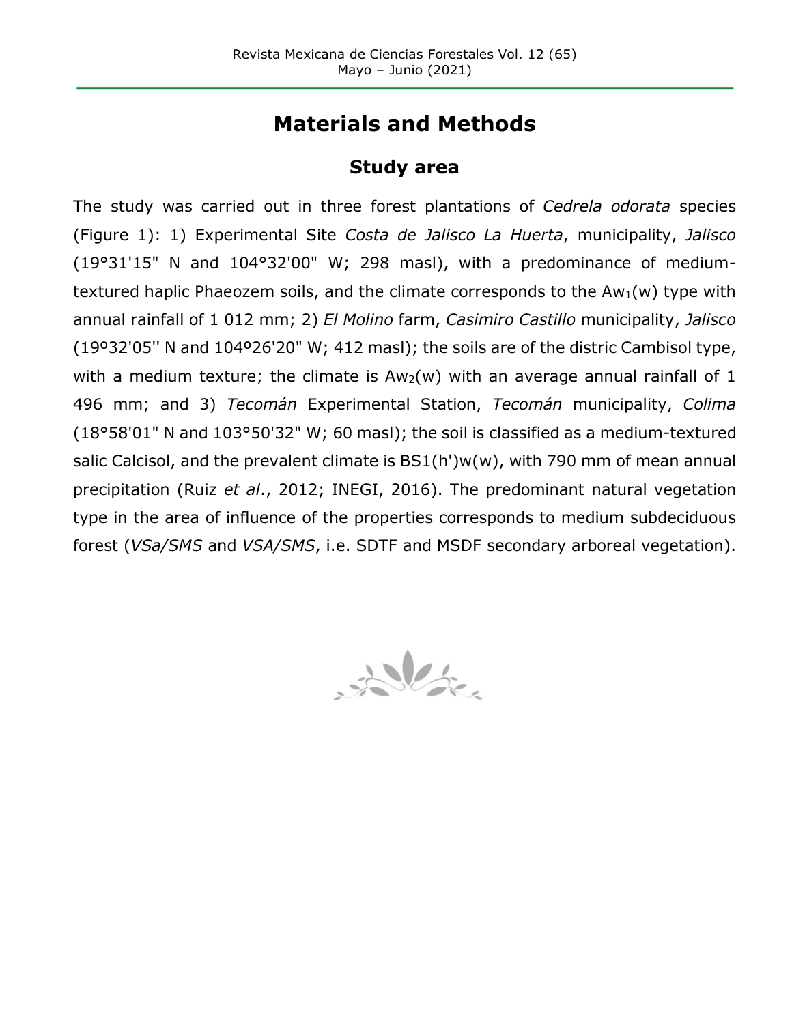# **Materials and Methods**

### **Study area**

The study was carried out in three forest plantations of *Cedrela odorata* species (Figure 1): 1) Experimental Site *Costa de Jalisco La Huerta*, municipality, *Jalisco* (19°31'15" N and 104°32'00" W; 298 masl), with a predominance of mediumtextured haplic Phaeozem soils, and the climate corresponds to the  $Aw<sub>1</sub>(w)$  type with annual rainfall of 1 012 mm; 2) *El Molino* farm, *Casimiro Castillo* municipality, *Jalisco* (19º32'05'' N and 104º26'20" W; 412 masl); the soils are of the distric Cambisol type, with a medium texture; the climate is  $Aw<sub>2</sub>(w)$  with an average annual rainfall of 1 496 mm; and 3) *Tecomán* Experimental Station, *Tecomán* municipality, *Colima* (18°58'01" N and 103°50'32" W; 60 masl); the soil is classified as a medium-textured salic Calcisol, and the prevalent climate is BS1(h')w(w), with 790 mm of mean annual precipitation (Ruiz *et al*., 2012; INEGI, 2016). The predominant natural vegetation type in the area of influence of the properties corresponds to medium subdeciduous forest (*VSa/SMS* and *VSA/SMS*, i.e. SDTF and MSDF secondary arboreal vegetation).

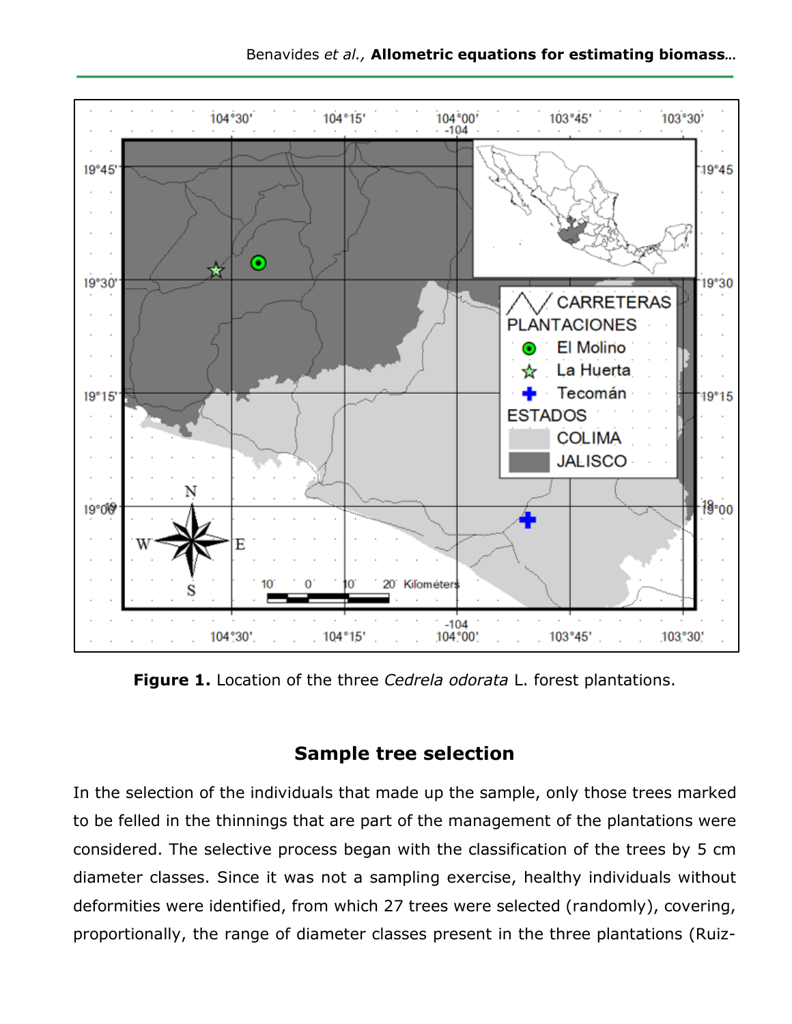

**Figure 1.** Location of the three *Cedrela odorata* L. forest plantations.

## **Sample tree selection**

In the selection of the individuals that made up the sample, only those trees marked to be felled in the thinnings that are part of the management of the plantations were considered. The selective process began with the classification of the trees by 5 cm diameter classes. Since it was not a sampling exercise, healthy individuals without deformities were identified, from which 27 trees were selected (randomly), covering, proportionally, the range of diameter classes present in the three plantations (Ruiz-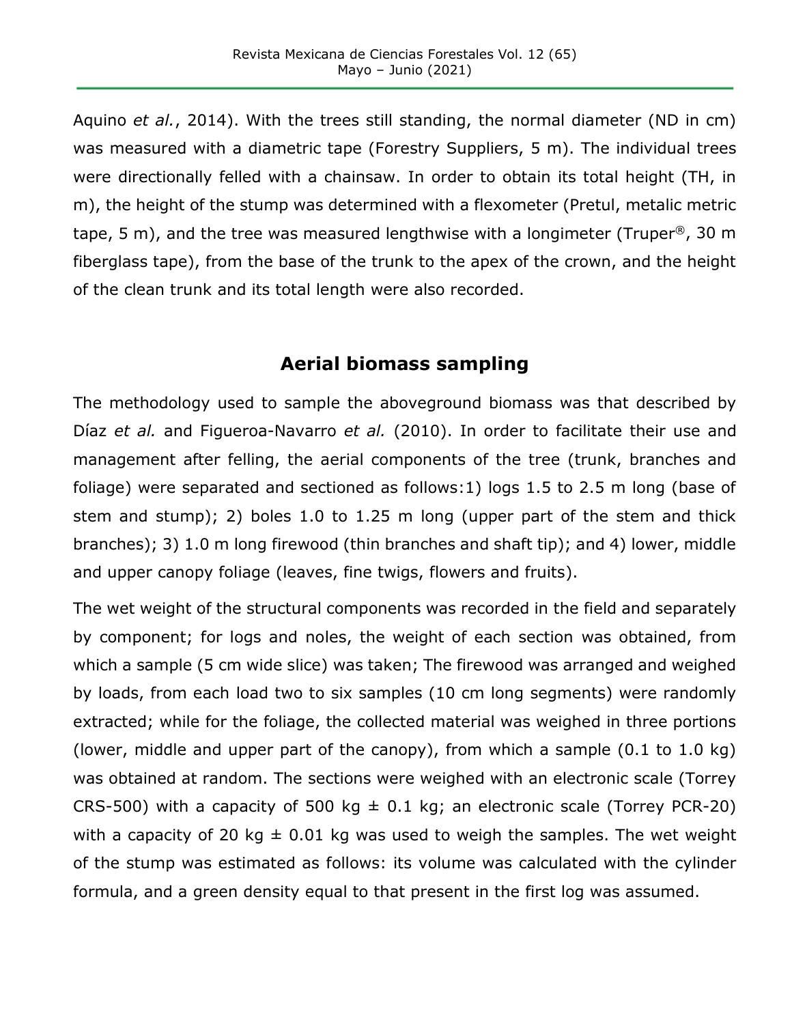Aquino *et al.*, 2014). With the trees still standing, the normal diameter (ND in cm) was measured with a diametric tape (Forestry Suppliers, 5 m). The individual trees were directionally felled with a chainsaw. In order to obtain its total height (TH, in m), the height of the stump was determined with a flexometer (Pretul, metalic metric tape, 5 m), and the tree was measured lengthwise with a longimeter (Truper<sup>®</sup>, 30 m fiberglass tape), from the base of the trunk to the apex of the crown, and the height of the clean trunk and its total length were also recorded.

## **Aerial biomass sampling**

The methodology used to sample the aboveground biomass was that described by Díaz *et al.* and Figueroa-Navarro *et al.* (2010). In order to facilitate their use and management after felling, the aerial components of the tree (trunk, branches and foliage) were separated and sectioned as follows:1) logs 1.5 to 2.5 m long (base of stem and stump); 2) boles 1.0 to 1.25 m long (upper part of the stem and thick branches); 3) 1.0 m long firewood (thin branches and shaft tip); and 4) lower, middle and upper canopy foliage (leaves, fine twigs, flowers and fruits).

The wet weight of the structural components was recorded in the field and separately by component; for logs and noles, the weight of each section was obtained, from which a sample (5 cm wide slice) was taken; The firewood was arranged and weighed by loads, from each load two to six samples (10 cm long segments) were randomly extracted; while for the foliage, the collected material was weighed in three portions (lower, middle and upper part of the canopy), from which a sample (0.1 to 1.0 kg) was obtained at random. The sections were weighed with an electronic scale (Torrey CRS-500) with a capacity of 500 kg  $\pm$  0.1 kg; an electronic scale (Torrey PCR-20) with a capacity of 20 kg  $\pm$  0.01 kg was used to weigh the samples. The wet weight of the stump was estimated as follows: its volume was calculated with the cylinder formula, and a green density equal to that present in the first log was assumed.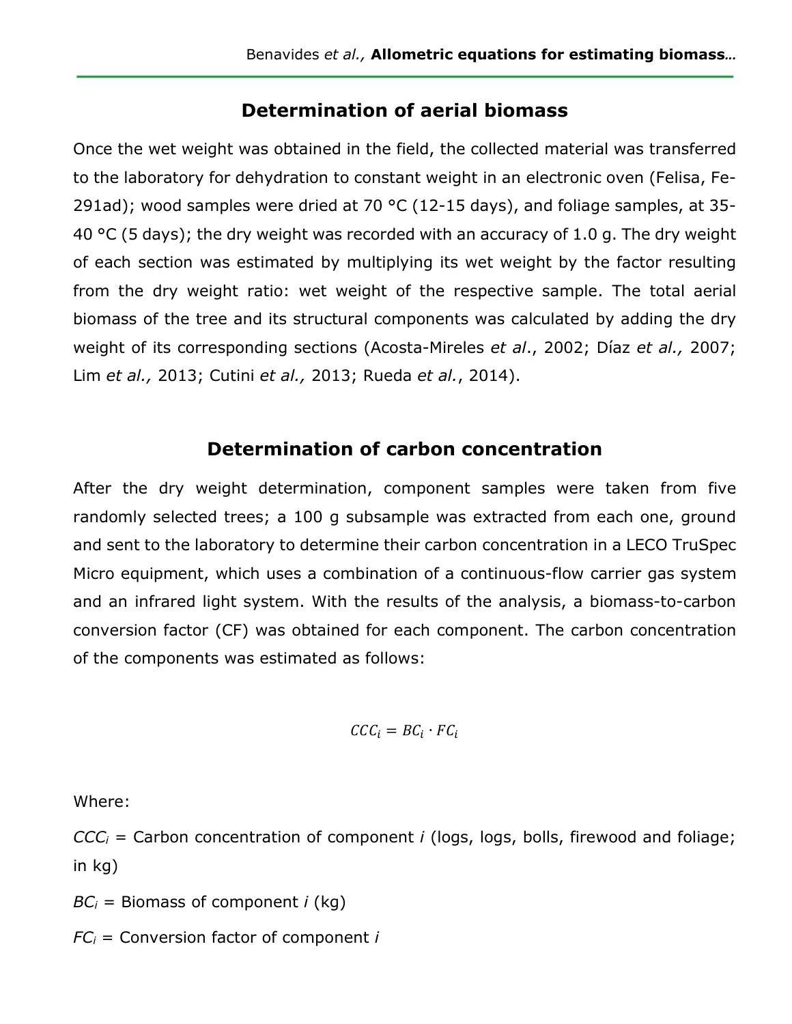### **Determination of aerial biomass**

Once the wet weight was obtained in the field, the collected material was transferred to the laboratory for dehydration to constant weight in an electronic oven (Felisa, Fe-291ad); wood samples were dried at 70  $^{\circ}$ C (12-15 days), and foliage samples, at 35-40 °C (5 days); the dry weight was recorded with an accuracy of 1.0 g. The dry weight of each section was estimated by multiplying its wet weight by the factor resulting from the dry weight ratio: wet weight of the respective sample. The total aerial biomass of the tree and its structural components was calculated by adding the dry weight of its corresponding sections (Acosta-Mireles *et al*., 2002; Díaz *et al.,* 2007; Lim *et al.,* 2013; Cutini *et al.,* 2013; Rueda *et al.*, 2014).

## **Determination of carbon concentration**

After the dry weight determination, component samples were taken from five randomly selected trees; a 100 g subsample was extracted from each one, ground and sent to the laboratory to determine their carbon concentration in a LECO TruSpec Micro equipment, which uses a combination of a continuous-flow carrier gas system and an infrared light system. With the results of the analysis, a biomass-to-carbon conversion factor (CF) was obtained for each component. The carbon concentration of the components was estimated as follows:

$$
\mathcal{CCC}_i = \mathcal{BC}_i \cdot \mathcal{FC}_i
$$

Where:

*CCCi* = Carbon concentration of component *i* (logs, logs, bolls, firewood and foliage; in kg)

*BCi* = Biomass of component *i* (kg)

*FCi* = Conversion factor of component *i*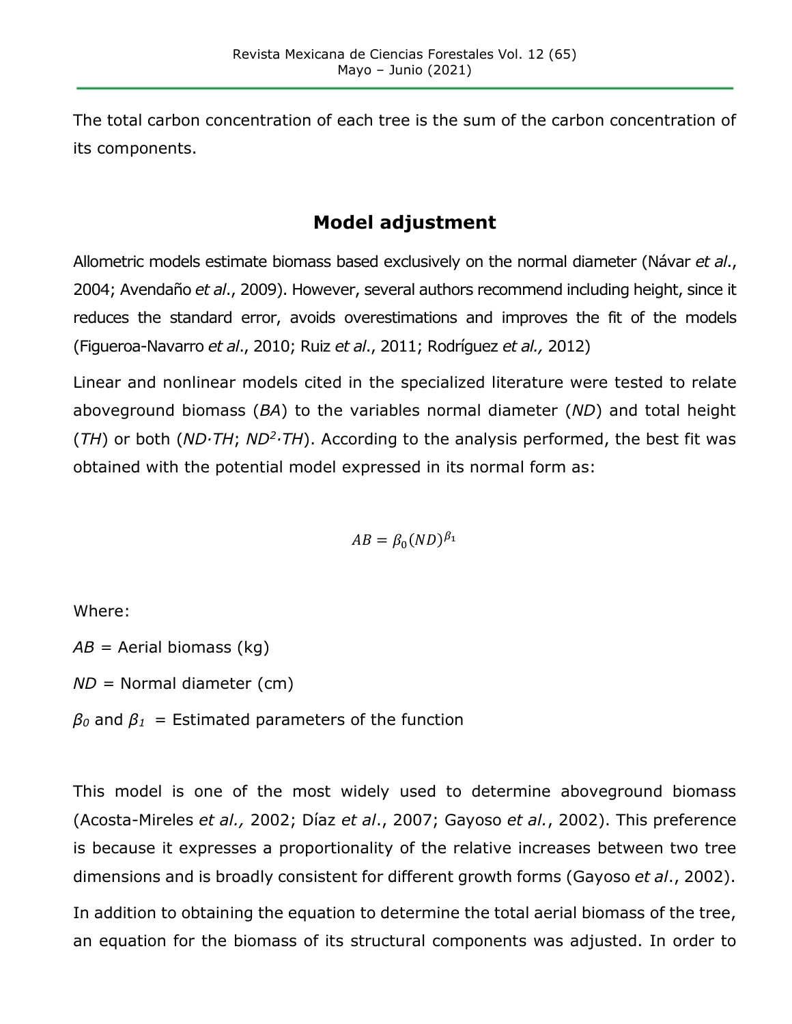The total carbon concentration of each tree is the sum of the carbon concentration of its components.

## **Model adjustment**

Allometric models estimate biomass based exclusively on the normal diameter (Návar *et al*., 2004; Avendaño *et al*., 2009). However, several authors recommend including height, since it reduces the standard error, avoids overestimations and improves the fit of the models (Figueroa-Navarro *et al*., 2010; Ruiz *et al*., 2011; Rodríguez *et al.,* 2012)

Linear and nonlinear models cited in the specialized literature were tested to relate aboveground biomass (*BA*) to the variables normal diameter (*ND*) and total height (*TH*) or both (*ND∙TH*; *ND2∙TH*). According to the analysis performed, the best fit was obtained with the potential model expressed in its normal form as:

 $AB = \beta_0 (ND)^{\beta_1}$ 

Where:

*AB =* Aerial biomass (kg)

*ND =* Normal diameter (cm)

 $β$ <sup>0</sup> and  $β$ <sup>1</sup> = Estimated parameters of the function

This model is one of the most widely used to determine aboveground biomass (Acosta-Mireles *et al.,* 2002; Díaz *et al*., 2007; Gayoso *et al.*, 2002). This preference is because it expresses a proportionality of the relative increases between two tree dimensions and is broadly consistent for different growth forms (Gayoso *et al*., 2002).

In addition to obtaining the equation to determine the total aerial biomass of the tree, an equation for the biomass of its structural components was adjusted. In order to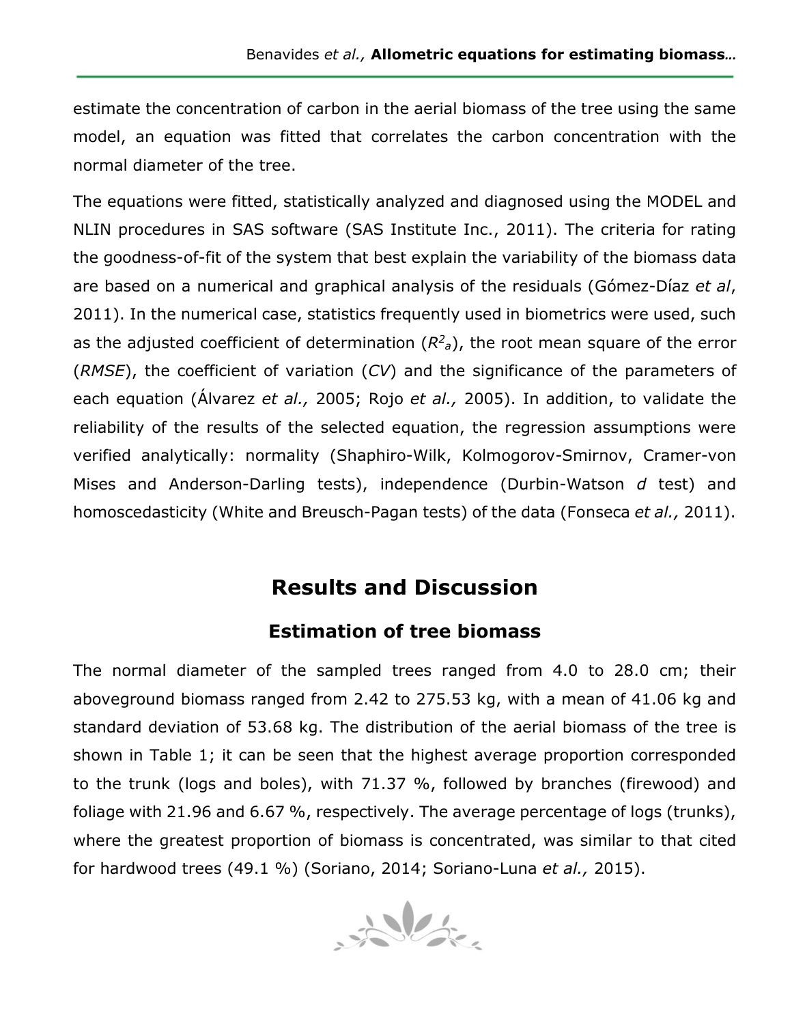estimate the concentration of carbon in the aerial biomass of the tree using the same model, an equation was fitted that correlates the carbon concentration with the normal diameter of the tree.

The equations were fitted, statistically analyzed and diagnosed using the MODEL and NLIN procedures in SAS software (SAS Institute Inc., 2011). The criteria for rating the goodness-of-fit of the system that best explain the variability of the biomass data are based on a numerical and graphical analysis of the residuals (Gómez-Díaz *et al*, 2011). In the numerical case, statistics frequently used in biometrics were used, such as the adjusted coefficient of determination  $(R<sup>2</sup><sub>a</sub>)$ , the root mean square of the error (*RMSE*), the coefficient of variation (*CV*) and the significance of the parameters of each equation (Álvarez *et al.,* 2005; Rojo *et al.,* 2005). In addition, to validate the reliability of the results of the selected equation, the regression assumptions were verified analytically: normality (Shaphiro-Wilk, Kolmogorov-Smirnov, Cramer-von Mises and Anderson-Darling tests), independence (Durbin-Watson *d* test) and homoscedasticity (White and Breusch-Pagan tests) of the data (Fonseca *et al.,* 2011).

# **Results and Discussion**

## **Estimation of tree biomass**

The normal diameter of the sampled trees ranged from 4.0 to 28.0 cm; their aboveground biomass ranged from 2.42 to 275.53 kg, with a mean of 41.06 kg and standard deviation of 53.68 kg. The distribution of the aerial biomass of the tree is shown in Table 1; it can be seen that the highest average proportion corresponded to the trunk (logs and boles), with 71.37 %, followed by branches (firewood) and foliage with 21.96 and 6.67 %, respectively. The average percentage of logs (trunks), where the greatest proportion of biomass is concentrated, was similar to that cited for hardwood trees (49.1 %) (Soriano, 2014; Soriano-Luna *et al.,* 2015).

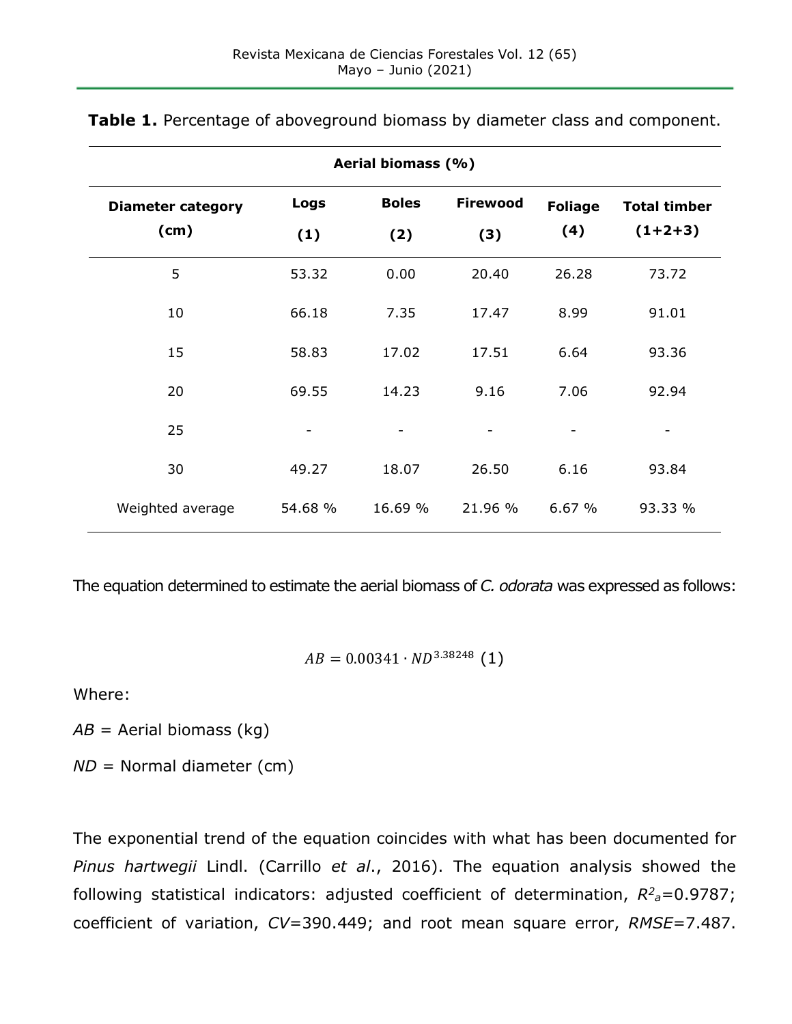| Aerial biomass (%)               |             |                          |                        |                       |                                  |  |  |
|----------------------------------|-------------|--------------------------|------------------------|-----------------------|----------------------------------|--|--|
| <b>Diameter category</b><br>(cm) | Logs<br>(1) | <b>Boles</b><br>(2)      | <b>Firewood</b><br>(3) | <b>Foliage</b><br>(4) | <b>Total timber</b><br>$(1+2+3)$ |  |  |
| 5                                | 53.32       | 0.00                     | 20.40                  | 26.28                 | 73.72                            |  |  |
| 10                               | 66.18       | 7.35                     | 17.47                  | 8.99                  | 91.01                            |  |  |
| 15                               | 58.83       | 17.02                    | 17.51                  | 6.64                  | 93.36                            |  |  |
| 20                               | 69.55       | 14.23                    | 9.16                   | 7.06                  | 92.94                            |  |  |
| 25                               | -           | $\overline{\phantom{a}}$ |                        |                       | -                                |  |  |
| 30                               | 49.27       | 18.07                    | 26.50                  | 6.16                  | 93.84                            |  |  |
| Weighted average                 | 54.68 %     | 16.69 %                  | 21.96 %                | 6.67%                 | 93.33 %                          |  |  |

**Table 1.** Percentage of aboveground biomass by diameter class and component.

The equation determined to estimate the aerial biomass of *C. odorata* was expressed as follows:

 $AB = 0.00341 \cdot ND^{3.38248}$  (1)

Where:

*AB* = Aerial biomass (kg)

*ND* = Normal diameter (cm)

The exponential trend of the equation coincides with what has been documented for *Pinus hartwegii* Lindl. (Carrillo *et al*., 2016). The equation analysis showed the following statistical indicators: adjusted coefficient of determination,  $R^2$ <sub>a</sub>=0.9787; coefficient of variation, *CV*=390.449; and root mean square error, *RMSE*=7.487.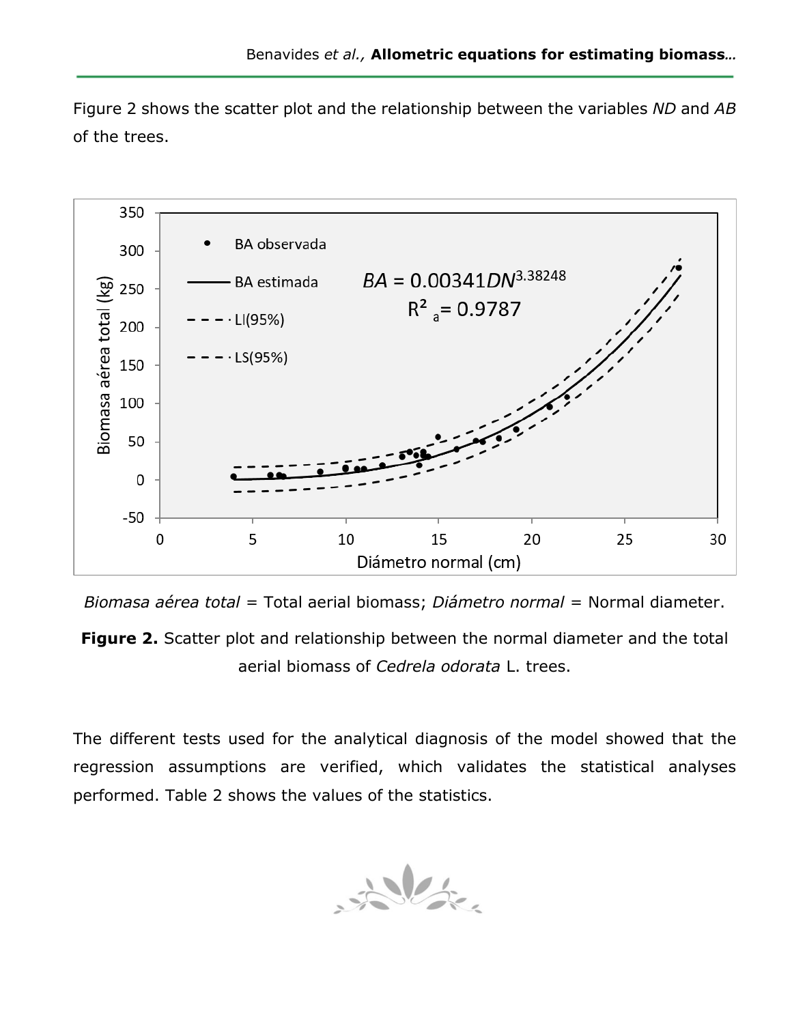Figure 2 shows the scatter plot and the relationship between the variables *ND* and *AB* of the trees.



*Biomasa aérea total* = Total aerial biomass; *Diámetro normal* = Normal diameter.

**Figure 2.** Scatter plot and relationship between the normal diameter and the total aerial biomass of *Cedrela odorata* L. trees.

The different tests used for the analytical diagnosis of the model showed that the regression assumptions are verified, which validates the statistical analyses performed. Table 2 shows the values of the statistics.

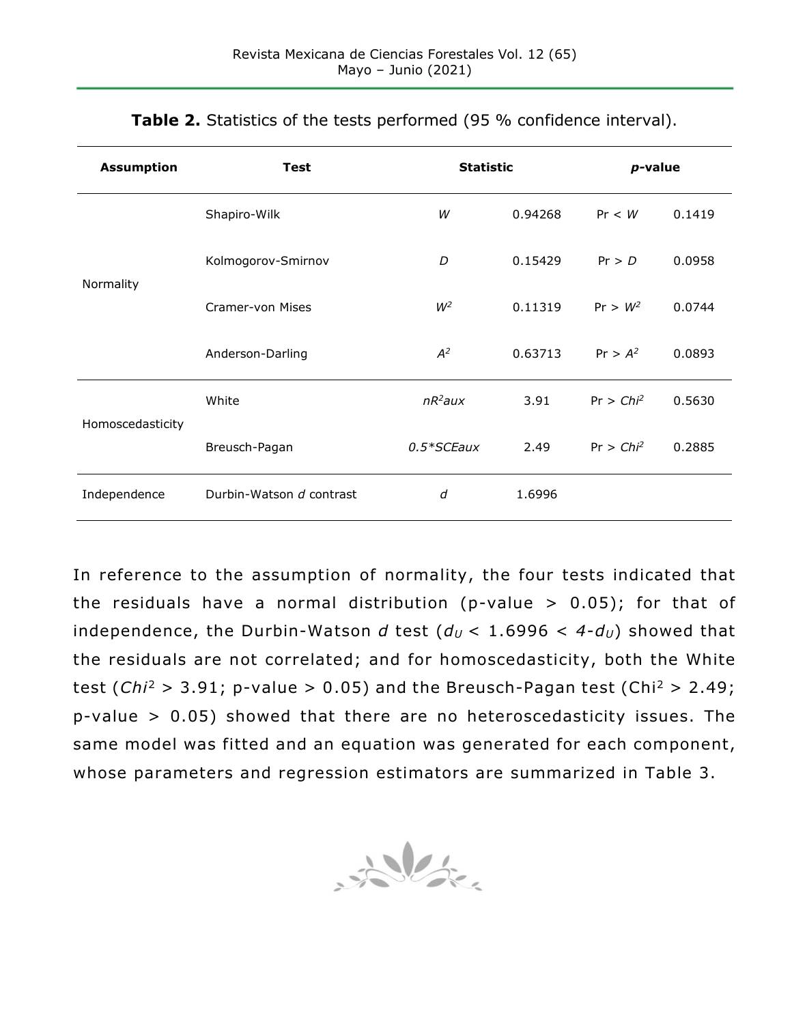| <b>Assumption</b> | <b>Test</b>              | <b>Statistic</b> |         | $p$ -value   |        |
|-------------------|--------------------------|------------------|---------|--------------|--------|
|                   | Shapiro-Wilk             | W                | 0.94268 | Pr < W       | 0.1419 |
| Normality         | Kolmogorov-Smirnov       | D                | 0.15429 | Pr > D       | 0.0958 |
|                   | Cramer-von Mises         | $W^2$            | 0.11319 | $Pr > W^2$   | 0.0744 |
|                   | Anderson-Darling         | $A^2$            | 0.63713 | $Pr > A^2$   | 0.0893 |
| Homoscedasticity  | White                    | $nR^2$ aux       | 3.91    | $Pr > Chi^2$ | 0.5630 |
|                   | Breusch-Pagan            | $0.5*$ SCEaux    | 2.49    | $Pr > Chi^2$ | 0.2885 |
| Independence      | Durbin-Watson d contrast | d                | 1.6996  |              |        |

**Table 2.** Statistics of the tests performed (95 % confidence interval).

In reference to the assumption of normality, the four tests indicated that the residuals have a normal distribution (p-value  $> 0.05$ ); for that of independence, the Durbin-Watson *d* test  $(d<sub>U</sub> < 1.6996 < 4-d<sub>U</sub>)$  showed that the residuals are not correlated; and for homoscedasticity, both the White test (*Chi*<sup>2</sup> > 3.91; p-value > 0.05) and the Breusch-Pagan test (Chi2 > 2.49; p-value > 0.05) showed that there are no heteroscedasticity issues. The same model was fitted and an equation was generated for each component, whose parameters and regression estimators are summarized in Table 3.

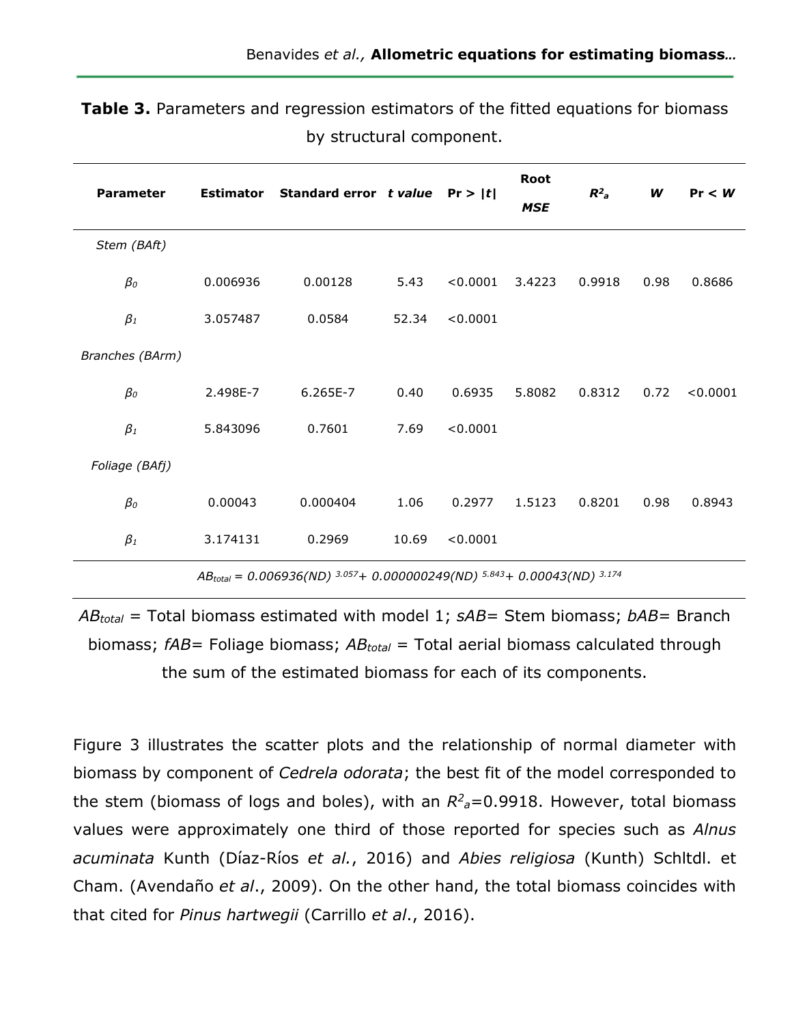| <b>Parameter</b> | <b>Estimator</b> | Standard error $t$ value Pr >  t                         |       |          | Root<br><b>MSE</b> | $R^2$ <sub>a</sub> | W    | Pr < W   |
|------------------|------------------|----------------------------------------------------------|-------|----------|--------------------|--------------------|------|----------|
| Stem (BAft)      |                  |                                                          |       |          |                    |                    |      |          |
| $\beta_0$        | 0.006936         | 0.00128                                                  | 5.43  | < 0.0001 | 3.4223             | 0.9918             | 0.98 | 0.8686   |
| $\beta_1$        | 3.057487         | 0.0584                                                   | 52.34 | < 0.0001 |                    |                    |      |          |
| Branches (BArm)  |                  |                                                          |       |          |                    |                    |      |          |
| $\beta_0$        | 2.498E-7         | 6.265E-7                                                 | 0.40  | 0.6935   | 5.8082             | 0.8312             | 0.72 | < 0.0001 |
| $\beta_1$        | 5.843096         | 0.7601                                                   | 7.69  | < 0.0001 |                    |                    |      |          |
| Foliage (BAfj)   |                  |                                                          |       |          |                    |                    |      |          |
| $\beta_0$        | 0.00043          | 0.000404                                                 | 1.06  | 0.2977   | 1.5123             | 0.8201             | 0.98 | 0.8943   |
| $\beta_1$        | 3.174131         | 0.2969                                                   | 10.69 | < 0.0001 |                    |                    |      |          |
|                  | $\overline{ }$   | $0.0000201013057 + 0.000000240015843 + 0.00042011013174$ |       |          |                    |                    |      |          |

**Table 3.** Parameters and regression estimators of the fitted equations for biomass by structural component.

*AB<sub>total</sub>* = 0.006936(ND)<sup>3.057</sup>+ 0.000000249(ND)<sup>5.843</sup>+ 0.00043(ND)<sup>3</sup>

*ABtotal* = Total biomass estimated with model 1; *sAB*= Stem biomass; *bAB*= Branch biomass; *fAB*= Foliage biomass; *ABtotal* = Total aerial biomass calculated through the sum of the estimated biomass for each of its components.

Figure 3 illustrates the scatter plots and the relationship of normal diameter with biomass by component of *Cedrela odorata*; the best fit of the model corresponded to the stem (biomass of logs and boles), with an  $R^2$ <sub>a</sub>=0.9918. However, total biomass values were approximately one third of those reported for species such as *Alnus acuminata* Kunth (Díaz-Ríos *et al.*, 2016) and *Abies religiosa* (Kunth) Schltdl. et Cham. (Avendaño *et al*., 2009). On the other hand, the total biomass coincides with that cited for *Pinus hartwegii* (Carrillo *et al*., 2016).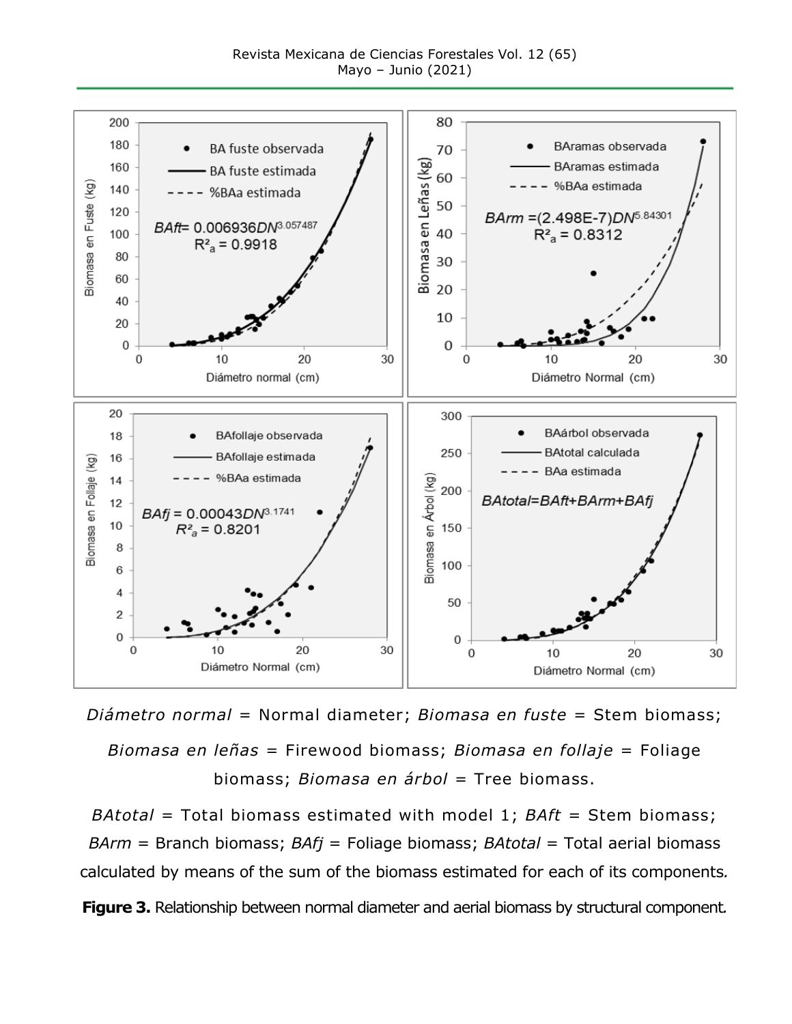Revista Mexicana de Ciencias Forestales Vol. 12 (65) Mayo – Junio (2021)



*Diámetro normal* = Normal diameter; *Biomasa en fuste* = Stem biomass; *Biomasa en leñas* = Firewood biomass; *Biomasa en follaje* = Foliage biomass; *Biomasa en árbol* = Tree biomass.

*BAtotal* = Total biomass estimated with model 1; *BAft* = Stem biomass; *BArm* = Branch biomass; *BAfj* = Foliage biomass; *BAtotal* = Total aerial biomass calculated by means of the sum of the biomass estimated for each of its components*.* **Figure 3.** Relationship between normal diameter and aerial biomass by structural component*.*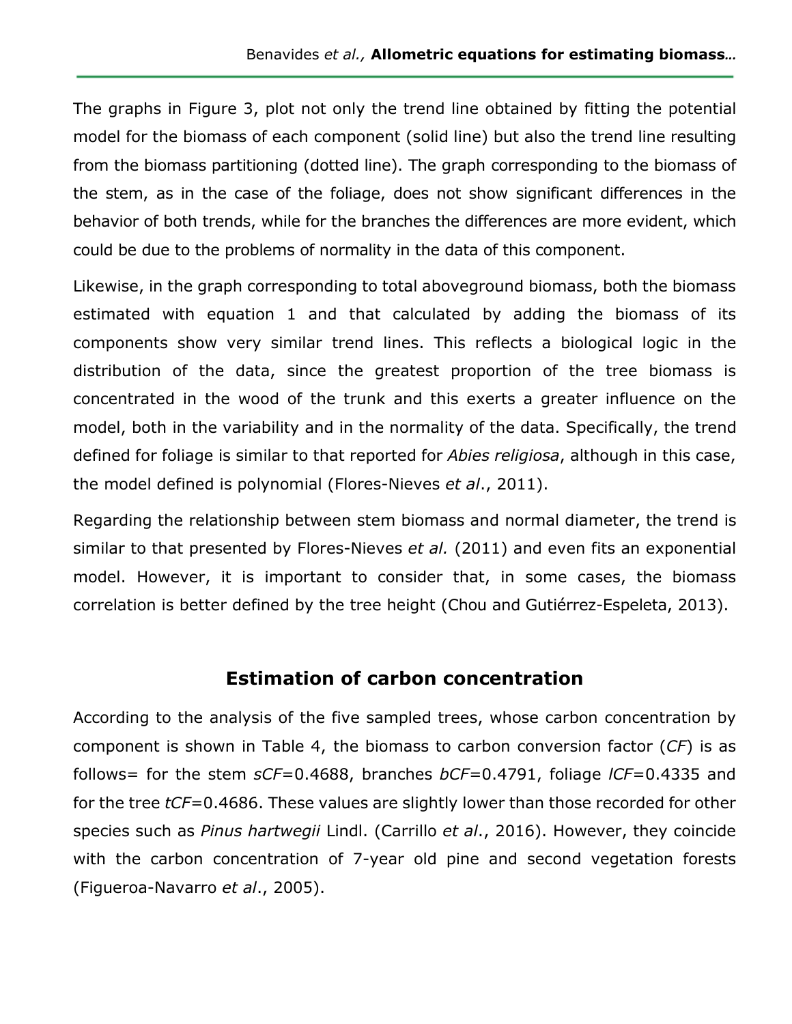The graphs in Figure 3, plot not only the trend line obtained by fitting the potential model for the biomass of each component (solid line) but also the trend line resulting from the biomass partitioning (dotted line). The graph corresponding to the biomass of the stem, as in the case of the foliage, does not show significant differences in the behavior of both trends, while for the branches the differences are more evident, which could be due to the problems of normality in the data of this component.

Likewise, in the graph corresponding to total aboveground biomass, both the biomass estimated with equation 1 and that calculated by adding the biomass of its components show very similar trend lines. This reflects a biological logic in the distribution of the data, since the greatest proportion of the tree biomass is concentrated in the wood of the trunk and this exerts a greater influence on the model, both in the variability and in the normality of the data. Specifically, the trend defined for foliage is similar to that reported for *Abies religiosa*, although in this case, the model defined is polynomial (Flores-Nieves *et al*., 2011).

Regarding the relationship between stem biomass and normal diameter, the trend is similar to that presented by Flores-Nieves *et al.* (2011) and even fits an exponential model. However, it is important to consider that, in some cases, the biomass correlation is better defined by the tree height (Chou and Gutiérrez-Espeleta, 2013).

#### **Estimation of carbon concentration**

According to the analysis of the five sampled trees, whose carbon concentration by component is shown in Table 4, the biomass to carbon conversion factor (*CF*) is as follows= for the stem *sCF*=0.4688, branches *bCF*=0.4791, foliage *lCF*=0.4335 and for the tree *tCF*=0.4686. These values are slightly lower than those recorded for other species such as *Pinus hartwegii* Lindl. (Carrillo *et al*., 2016). However, they coincide with the carbon concentration of 7-year old pine and second vegetation forests (Figueroa-Navarro *et al*., 2005).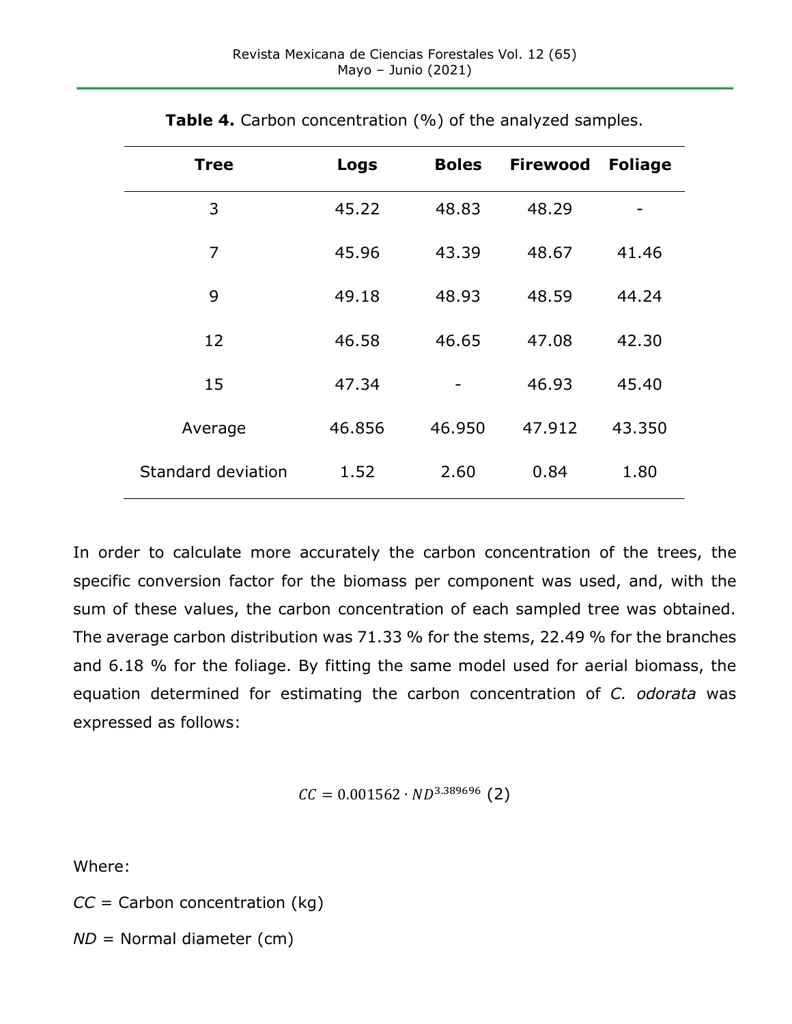| <b>Tree</b>        | Logs   | <b>Boles</b> | <b>Firewood</b> | <b>Foliage</b> |
|--------------------|--------|--------------|-----------------|----------------|
| 3                  | 45.22  | 48.83        | 48.29           |                |
| 7                  | 45.96  | 43.39        | 48.67           | 41.46          |
| 9                  | 49.18  | 48.93        | 48.59           | 44.24          |
| 12                 | 46.58  | 46.65        | 47.08           | 42.30          |
| 15                 | 47.34  |              | 46.93           | 45.40          |
| Average            | 46.856 | 46.950       | 47.912          | 43.350         |
| Standard deviation | 1.52   | 2.60         | 0.84            | 1.80           |

**Table 4.** Carbon concentration (%) of the analyzed samples.

In order to calculate more accurately the carbon concentration of the trees, the specific conversion factor for the biomass per component was used, and, with the sum of these values, the carbon concentration of each sampled tree was obtained. The average carbon distribution was 71.33 % for the stems, 22.49 % for the branches and 6.18 % for the foliage. By fitting the same model used for aerial biomass, the equation determined for estimating the carbon concentration of *C. odorata* was expressed as follows:

 $CC = 0.001562 \cdot ND^{3.389696}$  (2)

Where:

*CC* = Carbon concentration (kg)

*ND* = Normal diameter (cm)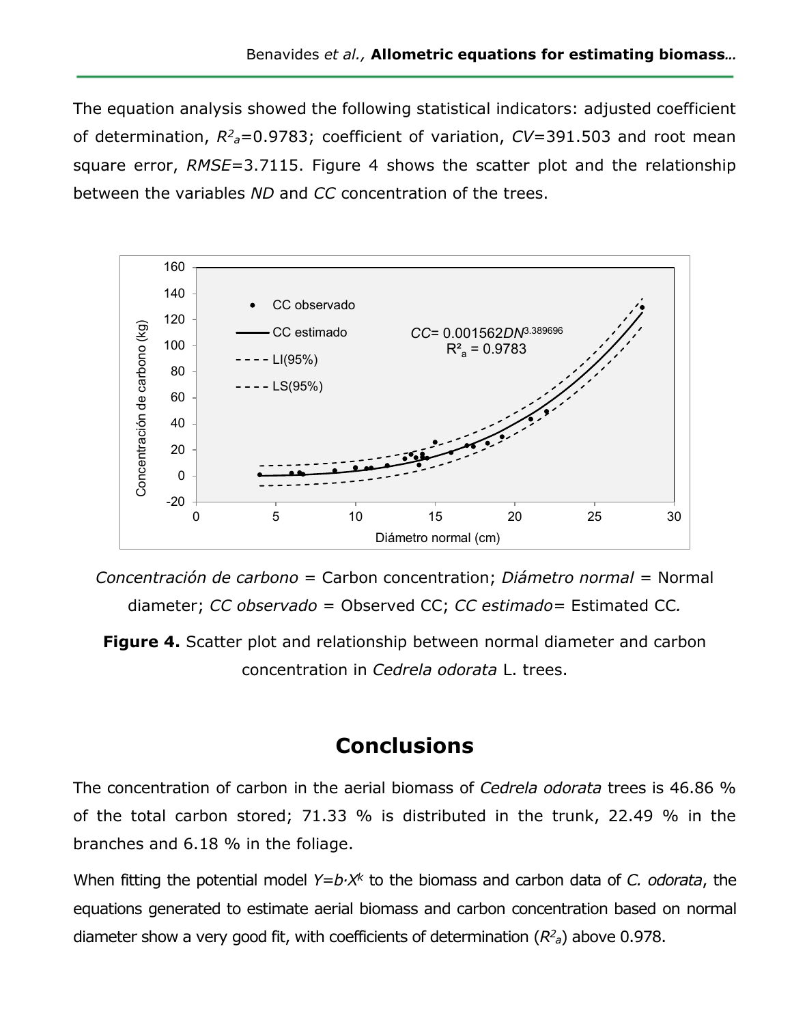The equation analysis showed the following statistical indicators: adjusted coefficient of determination,  $R^2$ <sub>a</sub>=0.9783; coefficient of variation, *CV*=391.503 and root mean square error, *RMSE*=3.7115. Figure 4 shows the scatter plot and the relationship between the variables *ND* and *CC* concentration of the trees.



*Concentración de carbono* = Carbon concentration; *Diámetro normal* = Normal diameter; *CC observado* = Observed CC; *CC estimado=* Estimated CC*.*

**Figure 4.** Scatter plot and relationship between normal diameter and carbon concentration in *Cedrela odorata* L. trees.

# **Conclusions**

The concentration of carbon in the aerial biomass of *Cedrela odorata* trees is 46.86 % of the total carbon stored; 71.33 % is distributed in the trunk, 22.49 % in the branches and 6.18 % in the foliage.

When fitting the potential model *Y=b∙X<sup>k</sup>* to the biomass and carbon data of *C. odorata*, the equations generated to estimate aerial biomass and carbon concentration based on normal diameter show a very good fit, with coefficients of determination (*R2 <sup>a</sup>*) above 0.978.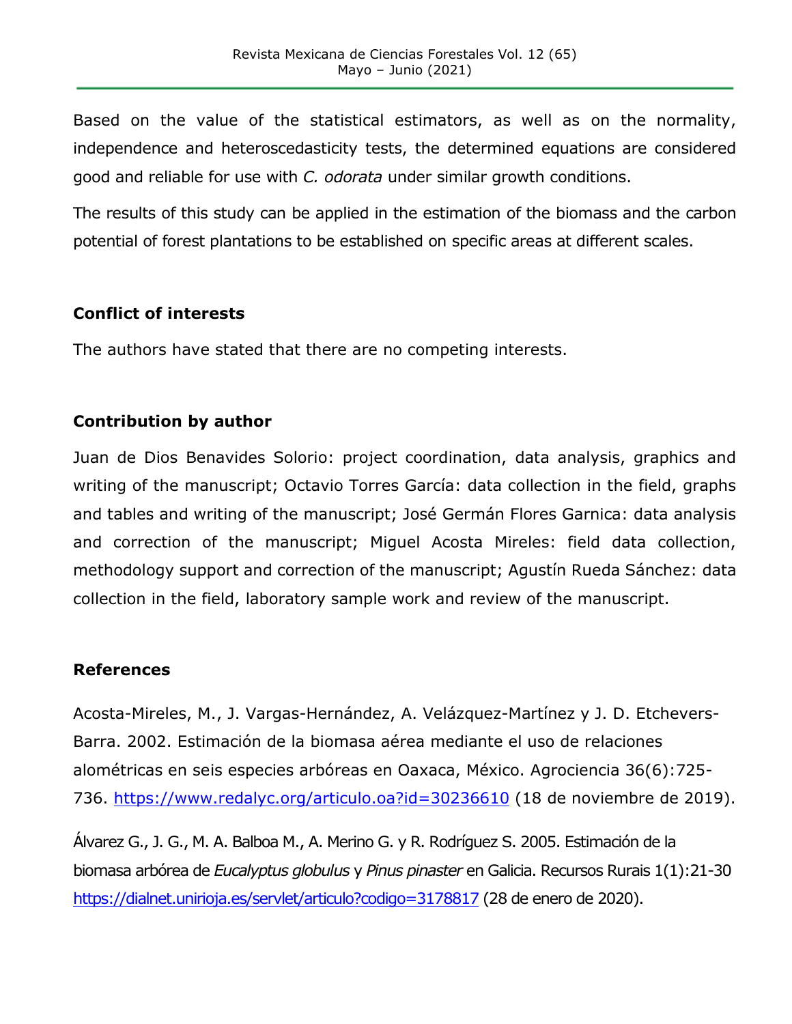Based on the value of the statistical estimators, as well as on the normality, independence and heteroscedasticity tests, the determined equations are considered good and reliable for use with *C. odorata* under similar growth conditions.

The results of this study can be applied in the estimation of the biomass and the carbon potential of forest plantations to be established on specific areas at different scales.

#### **Conflict of interests**

The authors have stated that there are no competing interests.

#### **Contribution by author**

Juan de Dios Benavides Solorio: project coordination, data analysis, graphics and writing of the manuscript; Octavio Torres García: data collection in the field, graphs and tables and writing of the manuscript; José Germán Flores Garnica: data analysis and correction of the manuscript; Miguel Acosta Mireles: field data collection, methodology support and correction of the manuscript; Agustín Rueda Sánchez: data collection in the field, laboratory sample work and review of the manuscript.

#### **References**

Acosta-Mireles, M., J. Vargas-Hernández, A. Velázquez-Martínez y J. D. Etchevers-Barra. 2002. Estimación de la biomasa aérea mediante el uso de relaciones alométricas en seis especies arbóreas en Oaxaca, México. Agrociencia 36(6):725- 736.<https://www.redalyc.org/articulo.oa?id=30236610> (18 de noviembre de 2019).

Álvarez G., J. G., M. A. Balboa M., A. Merino G. y R. Rodríguez S. 2005. Estimación de la biomasa arbórea de *Eucalyptus globulus* y *Pinus pinaster* en Galicia. Recursos Rurais 1(1):21-30 <https://dialnet.unirioja.es/servlet/articulo?codigo=3178817> (28 de enero de 2020).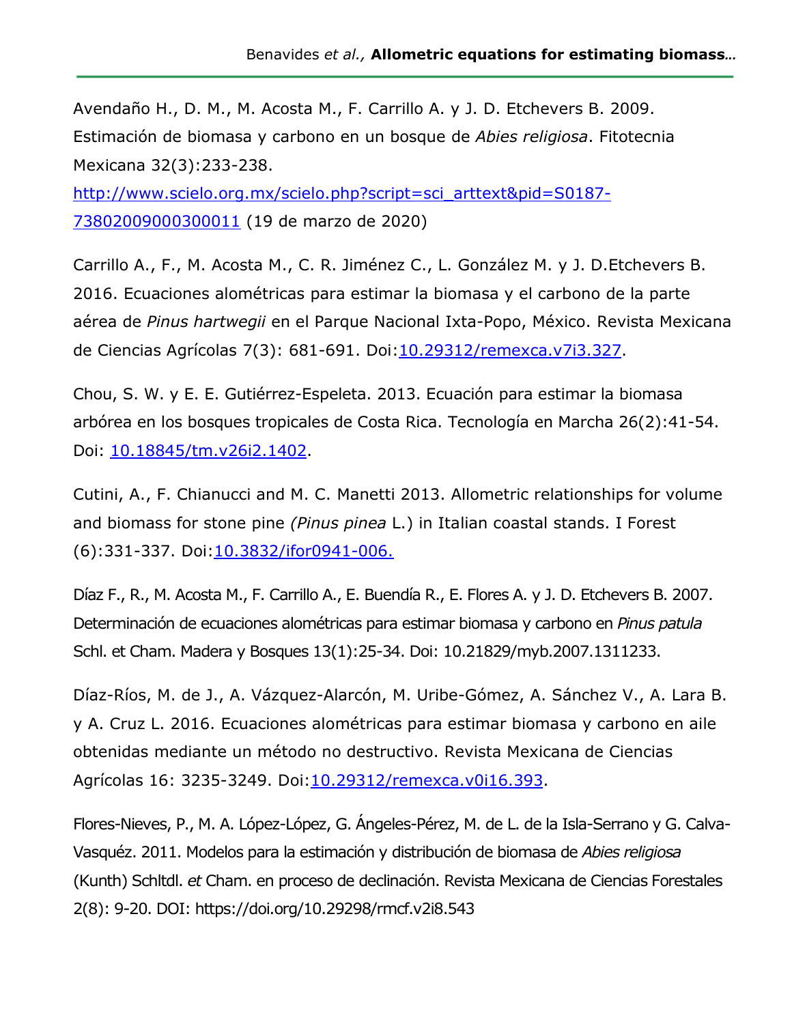Avendaño H., D. M., M. Acosta M., F. Carrillo A. y J. D. Etchevers B. 2009. Estimación de biomasa y carbono en un bosque de *Abies religiosa*. Fitotecnia Mexicana 32(3):233-238.

[http://www.scielo.org.mx/scielo.php?script=sci\\_arttext&pid=S0187-](http://www.scielo.org.mx/scielo.php?script=sci_arttext&pid=S0187-73802009000300011) [73802009000300011](http://www.scielo.org.mx/scielo.php?script=sci_arttext&pid=S0187-73802009000300011) (19 de marzo de 2020)

Carrillo A., F., M. Acosta M., C. R. Jiménez C., L. González M. y J. D.Etchevers B. 2016. Ecuaciones alométricas para estimar la biomasa y el carbono de la parte aérea de *Pinus hartwegii* en el Parque Nacional Ixta-Popo, México. Revista Mexicana de Ciencias Agrícolas 7(3): 681-691. Doi[:10.29312/remexca.v7i3.327.](https://www.researchgate.net/deref/http%3A%2F%2Fdx.doi.org%2F10.29312%2Fremexca.v7i3.327)

Chou, S. W. y E. E. Gutiérrez-Espeleta. 2013. Ecuación para estimar la biomasa arbórea en los bosques tropicales de Costa Rica. Tecnología en Marcha 26(2):41-54. Doi: [10.18845/tm.v26i2.1402.](https://www.researchgate.net/deref/http%3A%2F%2Fdx.doi.org%2F10.18845%2Ftm.v26i2.1402)

Cutini, A., F. Chianucci and M. C. Manetti 2013. Allometric relationships for volume and biomass for stone pine *(Pinus pinea* L.) in Italian coastal stands. I Forest (6):331-337. Doi[:10.3832/ifor0941-006.](https://www.researchgate.net/deref/http%3A%2F%2Fdx.doi.org%2F10.3832%2Fifor0941-006?_sg%5B0%5D=jv0jHjBmrG2xaQWcnextbjHYg0uWzaxmHua3m6pf7O5u31nHXx5zmyB8EG-XQQc0a-p72zTCX9RgTjZGD3dzdJv2jg.2Tf2LeXgRG38taZ2xLhonC9UPi8m9SqcYx0QjtyxHlGbiqTV83HjwUbRJmDL2FR8qaVi_hS1CmKNmqg7E5l7fw)

Díaz F., R., M. Acosta M., F. Carrillo A., E. Buendía R., E. Flores A. y J. D. Etchevers B. 2007. Determinación de ecuaciones alométricas para estimar biomasa y carbono en *Pinus patula*  Schl. et Cham. Madera y Bosques 13(1):25-34. Doi: 10.21829/myb.2007.1311233.

Díaz-Ríos, M. de J., A. Vázquez-Alarcón, M. Uribe-Gómez, A. Sánchez V., A. Lara B. y A. Cruz L. 2016. Ecuaciones alométricas para estimar biomasa y carbono en aile obtenidas mediante un método no destructivo. Revista Mexicana de Ciencias Agrícolas 16: 3235-3249. Doi: 10.29312/remexca.v0i16.393.

Flores-Nieves, P., M. A. López-López, G. Ángeles-Pérez, M. de L. de la Isla-Serrano y G. Calva-Vasquéz. 2011. Modelos para la estimación y distribución de biomasa de *Abies religiosa* (Kunth) Schltdl. *et* Cham. en proceso de declinación. Revista Mexicana de Ciencias Forestales 2(8): 9-20. DOI: <https://doi.org/10.29298/rmcf.v2i8.543>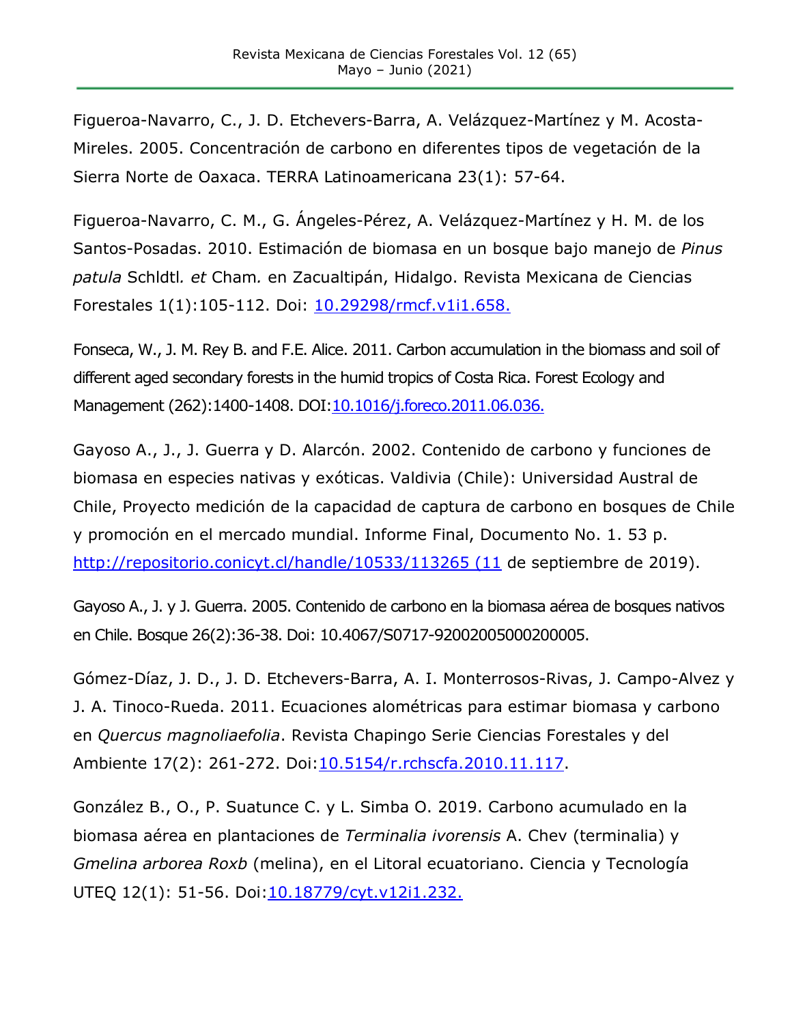Figueroa-Navarro, C., J. D. Etchevers-Barra, A. Velázquez-Martínez y M. Acosta-Mireles. 2005. Concentración de carbono en diferentes tipos de vegetación de la Sierra Norte de Oaxaca. TERRA Latinoamericana 23(1): 57-64.

Figueroa-Navarro, C. M., G. Ángeles-Pérez, A. Velázquez-Martínez y H. M. de los Santos-Posadas. 2010. Estimación de biomasa en un bosque bajo manejo de *Pinus patula* Schldtl*. et* Cham*.* en Zacualtipán, Hidalgo. Revista Mexicana de Ciencias Forestales 1(1):105-112. Doi: [10.29298/rmcf.v1i1.658.](https://doi.org/10.29298/rmcf.v1i1.658)

Fonseca, W., J. M. Rey B. and F.E. Alice. 2011. Carbon accumulation in the biomass and soil of different aged secondary forests in the humid tropics of Costa Rica. Forest Ecology and Management (262):1400-1408. DOI[:10.1016/j.foreco.2011.06.036.](https://doi.org/10.1016/j.foreco.2011.06.036)

Gayoso A., J., J. Guerra y D. Alarcón. 2002. Contenido de carbono y funciones de biomasa en especies nativas y exóticas. Valdivia (Chile): Universidad Austral de Chile, Proyecto medición de la capacidad de captura de carbono en bosques de Chile y promoción en el mercado mundial. Informe Final, Documento No. 1. 53 p. [http://repositorio.conicyt.cl/handle/10533/113265 \(11](http://repositorio.conicyt.cl/handle/10533/113265%20(11) de septiembre de 2019).

Gayoso A., J. y J. Guerra. 2005. Contenido de carbono en la biomasa aérea de bosques nativos en Chile. Bosque 26(2):36-38. Doi: 10.4067/S0717-92002005000200005.

Gómez-Díaz, J. D., J. D. Etchevers-Barra, A. I. Monterrosos-Rivas, J. Campo-Alvez y J. A. Tinoco-Rueda. 2011. Ecuaciones alométricas para estimar biomasa y carbono en *Quercus magnoliaefolia*. Revista Chapingo Serie Ciencias Forestales y del Ambiente 17(2): 261-272. Doi[:10.5154/r.rchscfa.2010.11.117.](https://doi.org/10.5154/r.rchscfa.2010.11.117)

González B., O., P. Suatunce C. y L. Simba O. 2019. Carbono acumulado en la biomasa aérea en plantaciones de *Terminalia ivorensis* A. Chev (terminalia) y *Gmelina arborea Roxb* (melina), en el Litoral ecuatoriano. Ciencia y Tecnología UTEQ 12(1): 51-56. Doi: 10.18779/cyt.v12i1.232.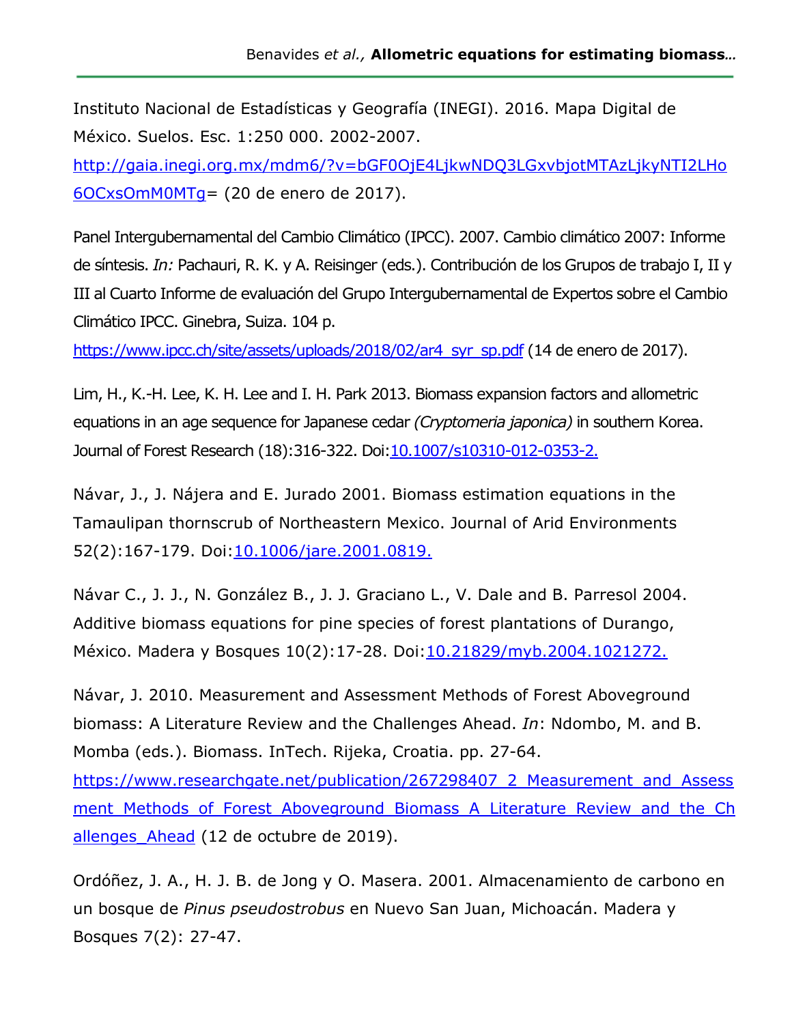Instituto Nacional de Estadísticas y Geografía (INEGI). 2016. Mapa Digital de México. Suelos. Esc. 1:250 000. 2002-2007.

[http://gaia.inegi.org.mx/mdm6/?v=bGF0OjE4LjkwNDQ3LGxvbjotMTAzLjkyNTI2LHo](http://gaia.inegi.org.mx/mdm6/?v=bGF0OjE4LjkwNDQ3LGxvbjotMTAzLjkyNTI2LHo6OCxsOmM0MTg) [6OCxsOmM0MTg=](http://gaia.inegi.org.mx/mdm6/?v=bGF0OjE4LjkwNDQ3LGxvbjotMTAzLjkyNTI2LHo6OCxsOmM0MTg) (20 de enero de 2017).

Panel Intergubernamental del Cambio Climático (IPCC). 2007. Cambio climático 2007: Informe de síntesis. *In:* Pachauri, R. K. y A. Reisinger (eds.). Contribución de los Grupos de trabajo I, II y III al Cuarto Informe de evaluación del Grupo Intergubernamental de Expertos sobre el Cambio Climático IPCC. Ginebra, Suiza. 104 p.

[https://www.ipcc.ch/site/assets/uploads/2018/02/ar4\\_syr\\_sp.pdf](https://www.ipcc.ch/site/assets/uploads/2018/02/ar4_syr_sp.pdf) (14 de enero de 2017).

Lim, H., K.-H. Lee, K. H. Lee and I. H. Park 2013. Biomass expansion factors and allometric equations in an age sequence for Japanese cedar *(Cryptomeria japonica)* in southern Korea. Journal of Forest Research (18):316-322. Doi[:10.1007/s10310-012-0353-2.](https://www.researchgate.net/deref/http%3A%2F%2Fdx.doi.org%2F10.1007%2Fs10310-012-0353-2?_sg%5B0%5D=xTam64b1jP9UtUTlgJUxbfDMuPfDRdtFHcYjzIBjpvZJJBfN37r3bvEbQ-CUO0mHXZ8_n6iTvakdaKtlmvMBh1trqw.C8jA6-jhHYBklj2-1vzQnIP8-KyszittChAWKAAE0MmcIxykupumWsy6UvfkiU9LFj-Wly2Hz_4SQhiynho_Rg)

Návar, J., J. Nájera and E. Jurado 2001. Biomass estimation equations in the Tamaulipan thornscrub of Northeastern Mexico. Journal of Arid Environments 52(2):167-179. Doi[:10.1006/jare.2001.0819.](https://doi.org/10.1006/jare.2001.0819)

Návar C., J. J., N. González B., J. J. Graciano L., V. Dale and B. Parresol 2004. Additive biomass equations for pine species of forest plantations of Durango, México. Madera y Bosques 10(2): 17-28. Doi: 10.21829/myb.2004.1021272.

Návar, J. 2010. Measurement and Assessment Methods of Forest Aboveground biomass: A Literature Review and the Challenges Ahead. *In*: Ndombo, M. and B. Momba (eds.). Biomass. InTech. Rijeka, Croatia. pp. 27-64.

[https://www.researchgate.net/publication/267298407\\_2\\_Measurement\\_and\\_Assess](https://www.researchgate.net/publication/267298407_2_Measurement_and_Assessment_Methods_of_Forest_Aboveground_Biomass_A_Literature_Review_and_the_Challenges_Ahead) ment Methods of Forest Aboveground Biomass A Literature Review and the Ch allenges Ahead (12 de octubre de 2019).

Ordóñez, J. A., H. J. B. de Jong y O. Masera. 2001. Almacenamiento de carbono en un bosque de *Pinus pseudostrobus* en Nuevo San Juan, Michoacán. Madera y Bosques 7(2): 27-47.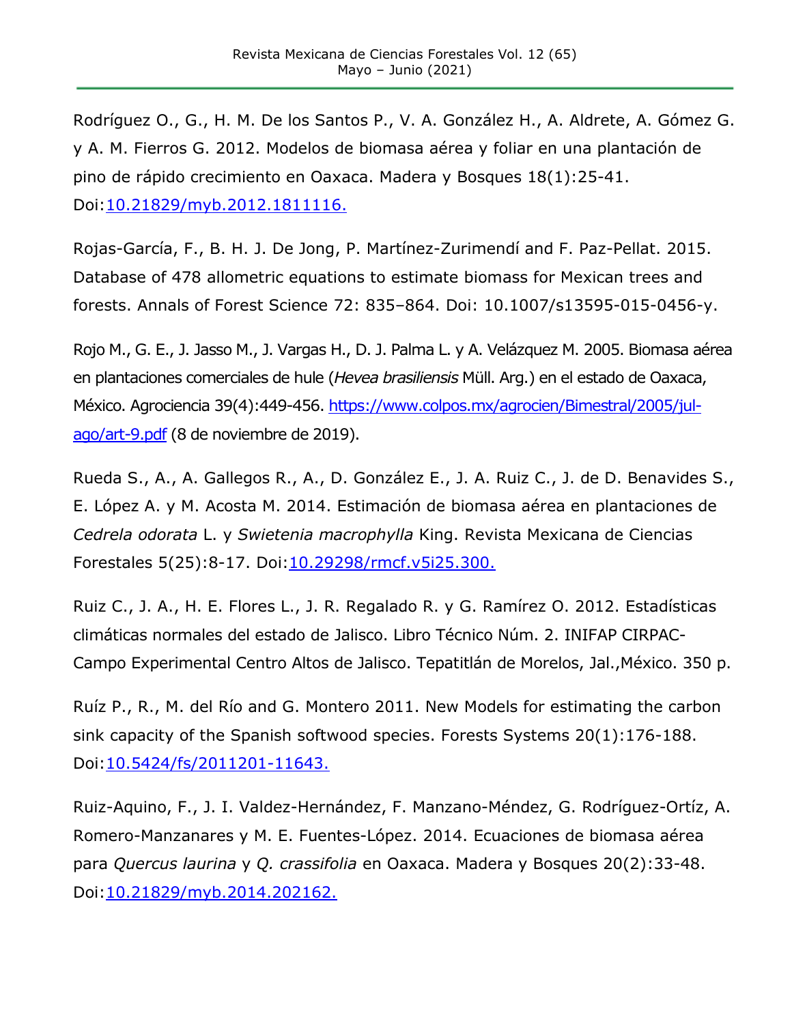Rodríguez O., G., H. M. De los Santos P., V. A. González H., A. Aldrete, A. Gómez G. y A. M. Fierros G. 2012. Modelos de biomasa aérea y foliar en una plantación de pino de rápido crecimiento en Oaxaca. Madera y Bosques 18(1):25-41. Doi[:10.21829/myb.2012.1811116.](https://www.researchgate.net/deref/http%3A%2F%2Fdx.doi.org%2F10.21829%2Fmyb.2012.1811116?_sg%5B0%5D=tdS6oI3jg7JVK0XkraPYcWddqP9q_aKKETzif2pk-3f-O5bQkrU0voa8YmhPF1810Iak71NnjugjSxqrbtPB59mKQw.rywf3EhsZl1_4dYhtPzPhClLoxb9vOQXsXabEQzm53pX14co9d5l9l5fzy32rTK4ma-g1dZHmoIbUR3msrTTzQ)

Rojas-García, F., B. H. J. De Jong, P. Martínez-Zurimendí and F. Paz-Pellat. 2015. Database of 478 allometric equations to estimate biomass for Mexican trees and forests. Annals of Forest Science 72: 835–864. Doi: 10.1007/s13595-015-0456-y.

Rojo M., G. E., J. Jasso M., J. Vargas H., D. J. Palma L. y A. Velázquez M. 2005. Biomasa aérea en plantaciones comerciales de hule (*Hevea brasiliensis* Müll. Arg.) en el estado de Oaxaca, México. Agrociencia 39(4):449-456. https://www.colpos.mx/agrocien/Bimestral/2005/iul[ago/art-9.pdf](https://www.colpos.mx/agrocien/Bimestral/2005/jul-ago/art-9.pdf) (8 de noviembre de 2019).

Rueda S., A., A. Gallegos R., A., D. González E., J. A. Ruiz C., J. de D. Benavides S., E. López A. y M. Acosta M. 2014. Estimación de biomasa aérea en plantaciones de *Cedrela odorata* L. y *Swietenia macrophylla* King. Revista Mexicana de Ciencias Forestales 5(25):8-17. Doi[:10.29298/rmcf.v5i25.300.](https://www.researchgate.net/deref/http%3A%2F%2Fdx.doi.org%2F10.29298%2Frmcf.v5i25.300?_sg%5B0%5D=d2VRgP381NiFJcM8veUoj6t4LuYNUfEI2WHEFFmbcr-EPXkxZYP9i9mhL1LhslqfloutzoqpGMn10hwao6eLbjSERQ.pAskjfSwHi_-QUQ8pzgtTTSe3t7ZRe4wxE_wOO1Jp35x5llhFJv1UmINrArPrawEGLiJ3wEwqjDLanTezrMoqA)

Ruiz C., J. A., H. E. Flores L., J. R. Regalado R. y G. Ramírez O. 2012. Estadísticas climáticas normales del estado de Jalisco. Libro Técnico Núm. 2. INIFAP CIRPAC-Campo Experimental Centro Altos de Jalisco. Tepatitlán de Morelos, Jal.,México. 350 p.

Ruíz P., R., M. del Río and G. Montero 2011. New Models for estimating the carbon sink capacity of the Spanish softwood species. Forests Systems 20(1):176-188. Doi[:10.5424/fs/2011201-11643.](https://www.researchgate.net/deref/http%3A%2F%2Fdx.doi.org%2F10.5424%2Ffs%2F2011201-11643?_sg%5B0%5D=6U9otGFpbAQhsJyAf2Ti4GsHdFyYQA-D9Rb82tU_jBPcmNicYRuJruZ_Wj2elIXOGJTSbmogmc4kXTaebx8ZHnJmTA.U1IOaYj8yyuZ90770zAux6ghcc33DF7Ila2snT7FiALA7TcmqgiNbdYHdqhAOIQl4_yhPwmWkZEYbbxkmX5DMw)

Ruiz-Aquino, F., J. I. Valdez-Hernández, F. Manzano-Méndez, G. Rodríguez-Ortíz, A. Romero-Manzanares y M. E. Fuentes-López. 2014. Ecuaciones de biomasa aérea para *Quercus laurina* y *Q. crassifolia* en Oaxaca. Madera y Bosques 20(2):33-48. Doi[:10.21829/myb.2014.202162.](https://www.researchgate.net/deref/http%3A%2F%2Fdx.doi.org%2F10.21829%2Fmyb.2014.202162?_sg%5B0%5D=mbzGcEdOuFd9IKVgAeN9WQcAeQuIi4ROQQoZlao-6X0GuZwBtw4slPy4_8GqHUsotI9Y3RSSVMkeol7QmeCS80fPBw.9wSaDHe-XHijtsbGCpoBBD4YiV_67fzzqazw_VHJr3EGzpS28vWL_WY00Uymf_pOcQ0U_auK8XiK3MtVl6PlfQ)